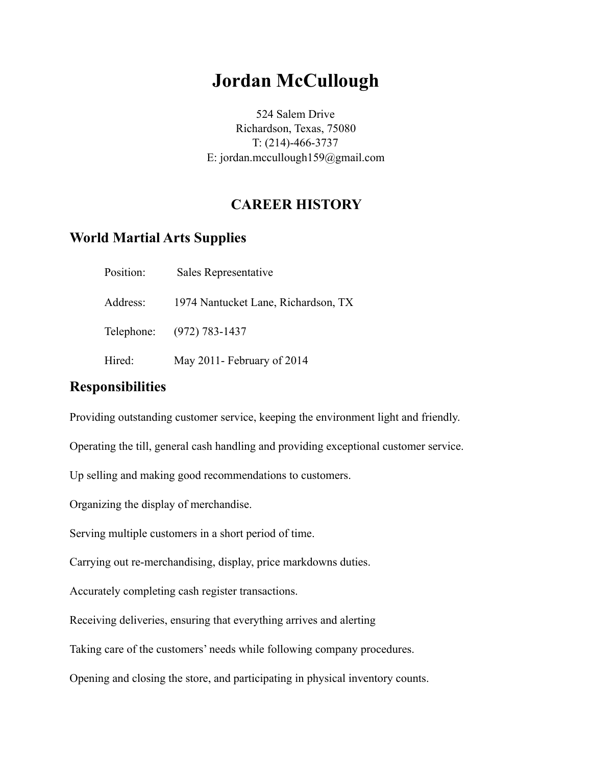# **Jordan McCullough**

524 Salem Drive Richardson, Texas, 75080 T: (214)-466-3737 E: jordan.mccullough159@gmail.com

## **CAREER HISTORY**

#### **World Martial Arts Supplies**

| Position: | Sales Representative                |
|-----------|-------------------------------------|
| Address:  | 1974 Nantucket Lane, Richardson, TX |
|           | Telephone: (972) 783-1437           |
| Hired:    | May 2011- February of 2014          |

### **Responsibilities**

Providing outstanding customer service, keeping the environment light and friendly.

Operating the till, general cash handling and providing exceptional customer service.

Up selling and making good recommendations to customers.

Organizing the display of merchandise.

Serving multiple customers in a short period of time.

Carrying out re-merchandising, display, price markdowns duties.

Accurately completing cash register transactions.

Receiving deliveries, ensuring that everything arrives and alerting

Taking care of the customers' needs while following company procedures.

Opening and closing the store, and participating in physical inventory counts.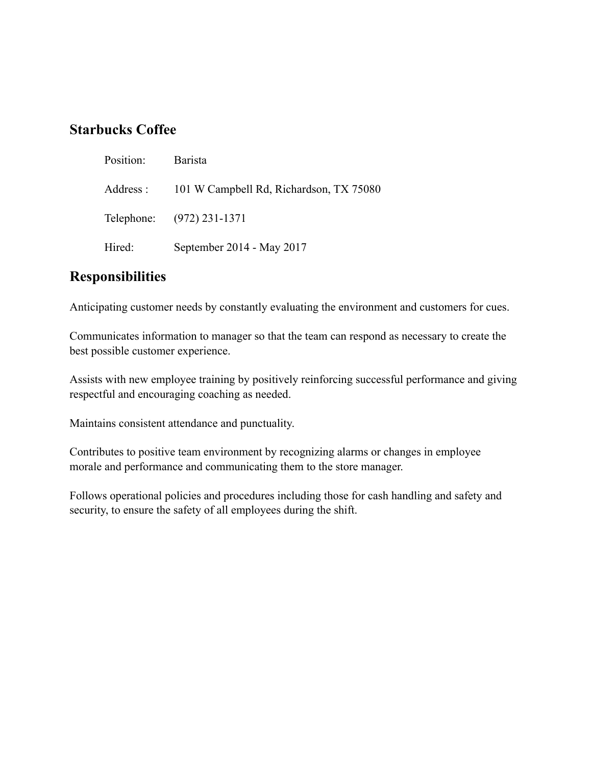#### **Starbucks Coffee**

| Position: | Barista                                 |
|-----------|-----------------------------------------|
| Address : | 101 W Campbell Rd, Richardson, TX 75080 |
|           | Telephone: (972) 231-1371               |
| Hired:    | September 2014 - May 2017               |

#### **Responsibilities**

Anticipating customer needs by constantly evaluating the environment and customers for cues.

Communicates information to manager so that the team can respond as necessary to create the best possible customer experience.

Assists with new employee training by positively reinforcing successful performance and giving respectful and encouraging coaching as needed.

Maintains consistent attendance and punctuality.

Contributes to positive team environment by recognizing alarms or changes in employee morale and performance and communicating them to the store manager.

Follows operational policies and procedures including those for cash handling and safety and security, to ensure the safety of all employees during the shift.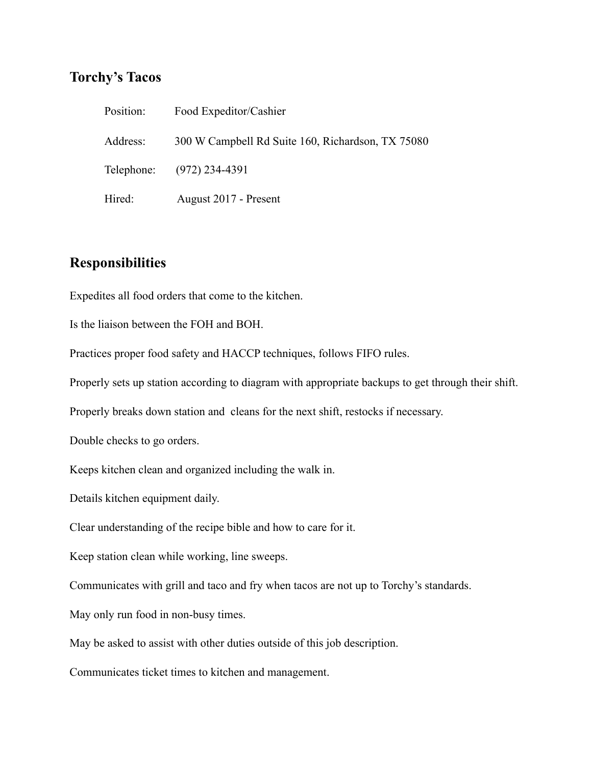#### **Torchy's Tacos**

| Position: | Food Expeditor/Cashier                            |
|-----------|---------------------------------------------------|
| Address:  | 300 W Campbell Rd Suite 160, Richardson, TX 75080 |
|           | Telephone: (972) 234-4391                         |
| Hired:    | August 2017 - Present                             |

#### **Responsibilities**

Expedites all food orders that come to the kitchen.

Is the liaison between the FOH and BOH.

Practices proper food safety and HACCP techniques, follows FIFO rules.

Properly sets up station according to diagram with appropriate backups to get through their shift.

Properly breaks down station and cleans for the next shift, restocks if necessary.

Double checks to go orders.

Keeps kitchen clean and organized including the walk in.

Details kitchen equipment daily.

Clear understanding of the recipe bible and how to care for it.

Keep station clean while working, line sweeps.

Communicates with grill and taco and fry when tacos are not up to Torchy's standards.

May only run food in non-busy times.

May be asked to assist with other duties outside of this job description.

Communicates ticket times to kitchen and management.